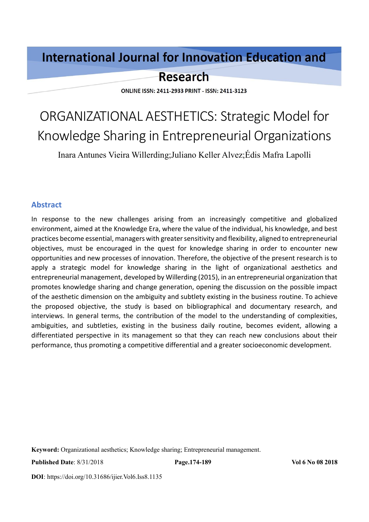## **International Journal for Innovation Education and**

## **Research**

**ONLINE ISSN: 2411-2933 PRINT - ISSN: 2411-3123** 

# ORGANIZATIONAL AESTHETICS: Strategic Model for Knowledge Sharing in Entrepreneurial Organizations

Inara Antunes Vieira Willerding;Juliano Keller Alvez;Édis Mafra Lapolli

#### **Abstract**

In response to the new challenges arising from an increasingly competitive and globalized environment, aimed at the Knowledge Era, where the value of the individual, his knowledge, and best practices become essential, managers with greater sensitivity and flexibility, aligned to entrepreneurial objectives, must be encouraged in the quest for knowledge sharing in order to encounter new opportunities and new processes of innovation. Therefore, the objective of the present research is to apply a strategic model for knowledge sharing in the light of organizational aesthetics and entrepreneurial management, developed by Willerding (2015), in an entrepreneurial organization that promotes knowledge sharing and change generation, opening the discussion on the possible impact of the aesthetic dimension on the ambiguity and subtlety existing in the business routine. To achieve the proposed objective, the study is based on bibliographical and documentary research, and interviews. In general terms, the contribution of the model to the understanding of complexities, ambiguities, and subtleties, existing in the business daily routine, becomes evident, allowing a differentiated perspective in its management so that they can reach new conclusions about their performance, thus promoting a competitive differential and a greater socioeconomic development.

**Keyword:** Organizational aesthetics; Knowledge sharing; Entrepreneurial management.

**Published Date**: 8/31/2018 **Page.174-189 Vol 6 No 08 2018**

**DOI**: https://doi.org/10.31686/ijier.Vol6.Iss8.1135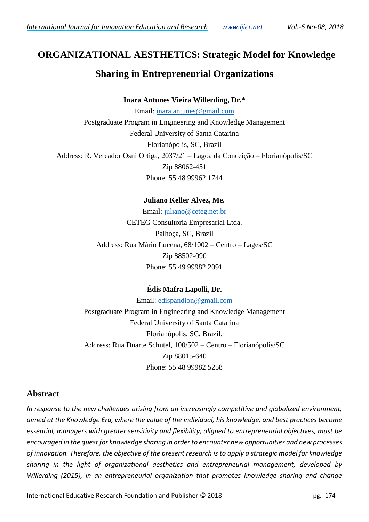## **ORGANIZATIONAL AESTHETICS: Strategic Model for Knowledge**

### **Sharing in Entrepreneurial Organizations**

#### **Inara Antunes Vieira Willerding, Dr.\***

Email: [inara.antunes@gmail.com](mailto:inara.antunes@gmail.com) Postgraduate Program in Engineering and Knowledge Management Federal University of Santa Catarina Florianópolis, SC, Brazil Address: R. Vereador Osni Ortiga, 2037/21 – Lagoa da Conceição – Florianópolis/SC Zip 88062-451 Phone: 55 48 99962 1744

#### **Juliano Keller Alvez, Me.**

Email: [juliano@ceteg.net.br](mailto:juliano@ceteg.net.br) CETEG Consultoria Empresarial Ltda. Palhoça, SC, Brazil Address: Rua Mário Lucena, 68/1002 – Centro – Lages/SC Zip 88502-090 Phone: 55 49 99982 2091

#### **Édis Mafra Lapolli, Dr.**

Email: [edispandion@gmail.com](mailto:edispandion@gmail.com) Postgraduate Program in Engineering and Knowledge Management Federal University of Santa Catarina Florianópolis, SC, Brazil. Address: Rua Duarte Schutel, 100/502 – Centro – Florianópolis/SC Zip 88015-640 Phone: 55 48 99982 5258

#### **Abstract**

*In response to the new challenges arising from an increasingly competitive and globalized environment, aimed at the Knowledge Era, where the value of the individual, his knowledge, and best practices become essential, managers with greater sensitivity and flexibility, aligned to entrepreneurial objectives, must be encouraged in the quest for knowledge sharing in order to encounter new opportunities and new processes of innovation. Therefore, the objective of the present research is to apply a strategic model for knowledge sharing in the light of organizational aesthetics and entrepreneurial management, developed by Willerding (2015), in an entrepreneurial organization that promotes knowledge sharing and change*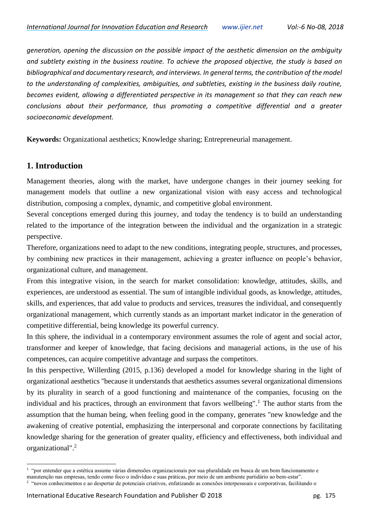*generation, opening the discussion on the possible impact of the aesthetic dimension on the ambiguity and subtlety existing in the business routine. To achieve the proposed objective, the study is based on bibliographical and documentary research, and interviews. In general terms, the contribution of the model to the understanding of complexities, ambiguities, and subtleties, existing in the business daily routine, becomes evident, allowing a differentiated perspective in its management so that they can reach new conclusions about their performance, thus promoting a competitive differential and a greater socioeconomic development.*

**Keywords:** Organizational aesthetics; Knowledge sharing; Entrepreneurial management.

#### **1. Introduction**

l

Management theories, along with the market, have undergone changes in their journey seeking for management models that outline a new organizational vision with easy access and technological distribution, composing a complex, dynamic, and competitive global environment.

Several conceptions emerged during this journey, and today the tendency is to build an understanding related to the importance of the integration between the individual and the organization in a strategic perspective.

Therefore, organizations need to adapt to the new conditions, integrating people, structures, and processes, by combining new practices in their management, achieving a greater influence on people's behavior, organizational culture, and management.

From this integrative vision, in the search for market consolidation: knowledge, attitudes, skills, and experiences, are understood as essential. The sum of intangible individual goods, as knowledge, attitudes, skills, and experiences, that add value to products and services, treasures the individual, and consequently organizational management, which currently stands as an important market indicator in the generation of competitive differential, being knowledge its powerful currency.

In this sphere, the individual in a contemporary environment assumes the role of agent and social actor, transformer and keeper of knowledge, that facing decisions and managerial actions, in the use of his competences, can acquire competitive advantage and surpass the competitors.

In this perspective, Willerding (2015, p.136) developed a model for knowledge sharing in the light of organizational aesthetics "because it understands that aesthetics assumes several organizational dimensions by its plurality in search of a good functioning and maintenance of the companies, focusing on the individual and his practices, through an environment that favors wellbeing".<sup>1</sup> The author starts from the assumption that the human being, when feeling good in the company, generates "new knowledge and the awakening of creative potential, emphasizing the interpersonal and corporate connections by facilitating knowledge sharing for the generation of greater quality, efficiency and effectiveness, both individual and organizational".<sup>2</sup>

<sup>1</sup> "por entender que a estética assume várias dimensões organizacionais por sua pluralidade em busca de um bom funcionamento e

manutenção nas empresas, tendo como foco o indivíduo e suas práticas, por meio de um ambiente partidário ao bem-estar".

<sup>2</sup> "novos conhecimentos e ao despertar de potenciais criativos, enfatizando as conexões interpessoais e corporativas, facilitando o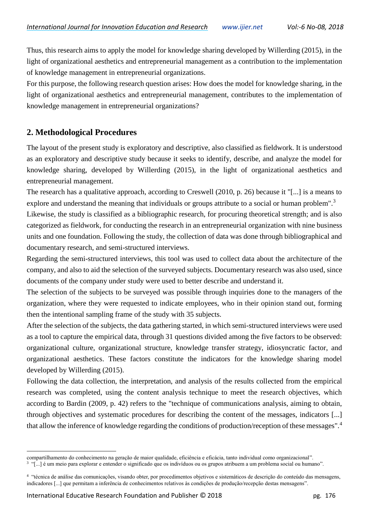Thus, this research aims to apply the model for knowledge sharing developed by Willerding (2015), in the light of organizational aesthetics and entrepreneurial management as a contribution to the implementation of knowledge management in entrepreneurial organizations.

For this purpose, the following research question arises: How does the model for knowledge sharing, in the light of organizational aesthetics and entrepreneurial management, contributes to the implementation of knowledge management in entrepreneurial organizations?

#### **2. Methodological Procedures**

The layout of the present study is exploratory and descriptive, also classified as fieldwork. It is understood as an exploratory and descriptive study because it seeks to identify, describe, and analyze the model for knowledge sharing, developed by Willerding (2015), in the light of organizational aesthetics and entrepreneurial management.

The research has a qualitative approach, according to Creswell (2010, p. 26) because it "[...] is a means to explore and understand the meaning that individuals or groups attribute to a social or human problem".<sup>3</sup>

Likewise, the study is classified as a bibliographic research, for procuring theoretical strength; and is also categorized as fieldwork, for conducting the research in an entrepreneurial organization with nine business units and one foundation. Following the study, the collection of data was done through bibliographical and documentary research, and semi-structured interviews.

Regarding the semi-structured interviews, this tool was used to collect data about the architecture of the company, and also to aid the selection of the surveyed subjects. Documentary research was also used, since documents of the company under study were used to better describe and understand it.

The selection of the subjects to be surveyed was possible through inquiries done to the managers of the organization, where they were requested to indicate employees, who in their opinion stand out, forming then the intentional sampling frame of the study with 35 subjects.

After the selection of the subjects, the data gathering started, in which semi-structured interviews were used as a tool to capture the empirical data, through 31 questions divided among the five factors to be observed: organizational culture, organizational structure, knowledge transfer strategy, idiosyncratic factor, and organizational aesthetics. These factors constitute the indicators for the knowledge sharing model developed by Willerding (2015).

Following the data collection, the interpretation, and analysis of the results collected from the empirical research was completed, using the content analysis technique to meet the research objectives, which according to Bardin (2009, p. 42) refers to the "technique of communications analysis, aiming to obtain, through objectives and systematic procedures for describing the content of the messages, indicators [...] that allow the inference of knowledge regarding the conditions of production/reception of these messages".<sup>4</sup>

l

compartilhamento do conhecimento na geração de maior qualidade, eficiência e eficácia, tanto individual como organizacional".

<sup>3</sup> "[...] é um meio para explorar e entender o significado que os indivíduos ou os grupos atribuem a um problema social ou humano".

<sup>4</sup> "técnica de análise das comunicações, visando obter, por procedimentos objetivos e sistemáticos de descrição do conteúdo das mensagens, indicadores [...] que permitam a inferência de conhecimentos relativos às condições de produção/recepção destas mensagens".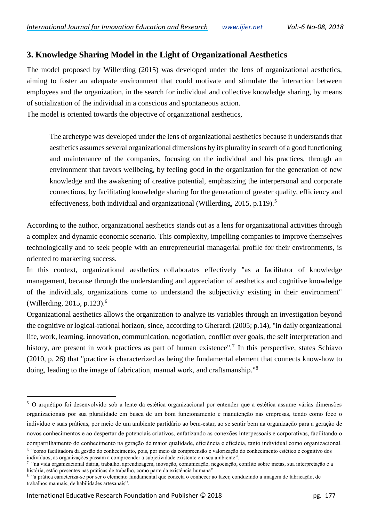#### **3. Knowledge Sharing Model in the Light of Organizational Aesthetics**

The model proposed by Willerding (2015) was developed under the lens of organizational aesthetics, aiming to foster an adequate environment that could motivate and stimulate the interaction between employees and the organization, in the search for individual and collective knowledge sharing, by means of socialization of the individual in a conscious and spontaneous action.

The model is oriented towards the objective of organizational aesthetics,

The archetype was developed under the lens of organizational aesthetics because it understands that aesthetics assumes several organizational dimensions by its plurality in search of a good functioning and maintenance of the companies, focusing on the individual and his practices, through an environment that favors wellbeing, by feeling good in the organization for the generation of new knowledge and the awakening of creative potential, emphasizing the interpersonal and corporate connections, by facilitating knowledge sharing for the generation of greater quality, efficiency and effectiveness, both individual and organizational (Willerding, 2015, p.119).<sup>5</sup>

According to the author, organizational aesthetics stands out as a lens for organizational activities through a complex and dynamic economic scenario. This complexity, impelling companies to improve themselves technologically and to seek people with an entrepreneurial managerial profile for their environments, is oriented to marketing success.

In this context, organizational aesthetics collaborates effectively "as a facilitator of knowledge management, because through the understanding and appreciation of aesthetics and cognitive knowledge of the individuals, organizations come to understand the subjectivity existing in their environment" (Willerding, 2015, p.123). $^{6}$ 

Organizational aesthetics allows the organization to analyze its variables through an investigation beyond the cognitive or logical-rational horizon, since, according to Gherardi (2005; p.14), "in daily organizational life, work, learning, innovation, communication, negotiation, conflict over goals, the self interpretation and history, are present in work practices as part of human existence".<sup>7</sup> In this perspective, states Schiavo (2010, p. 26) that "practice is characterized as being the fundamental element that connects know-how to doing, leading to the image of fabrication, manual work, and craftsmanship."<sup>8</sup>

l

<sup>5</sup> O arquétipo foi desenvolvido sob a lente da estética organizacional por entender que a estética assume várias dimensões organizacionais por sua pluralidade em busca de um bom funcionamento e manutenção nas empresas, tendo como foco o indivíduo e suas práticas, por meio de um ambiente partidário ao bem-estar, ao se sentir bem na organização para a geração de novos conhecimentos e ao despertar de potenciais criativos, enfatizando as conexões interpessoais e corporativas, facilitando o compartilhamento do conhecimento na geração de maior qualidade, eficiência e eficácia, tanto individual como organizacional.

<sup>6</sup> "como facilitadora da gestão do conhecimento, pois, por meio da compreensão e valorização do conhecimento estético e cognitivo dos indivíduos, as organizações passam a compreender a subjetividade existente em seu ambiente". 7

<sup>&</sup>quot;na vida organizacional diária, trabalho, aprendizagem, inovação, comunicação, negociação, conflito sobre metas, sua interpretação e a história, estão presentes nas práticas de trabalho, como parte da existência humana".

<sup>8</sup> "a prática caracteriza-se por ser o elemento fundamental que conecta o conhecer ao fazer, conduzindo a imagem de fabricação, de trabalhos manuais, de habilidades artesanais".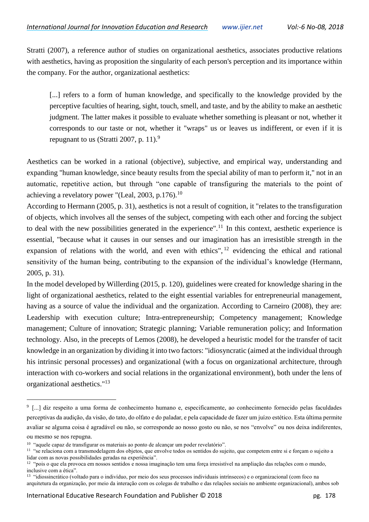Stratti (2007), a reference author of studies on organizational aesthetics, associates productive relations with aesthetics, having as proposition the singularity of each person's perception and its importance within the company. For the author, organizational aesthetics:

[...] refers to a form of human knowledge, and specifically to the knowledge provided by the perceptive faculties of hearing, sight, touch, smell, and taste, and by the ability to make an aesthetic judgment. The latter makes it possible to evaluate whether something is pleasant or not, whether it corresponds to our taste or not, whether it "wraps" us or leaves us indifferent, or even if it is repugnant to us (Stratti 2007, p. 11).<sup>9</sup>

Aesthetics can be worked in a rational (objective), subjective, and empirical way, understanding and expanding "human knowledge, since beauty results from the special ability of man to perform it," not in an automatic, repetitive action, but through "one capable of transfiguring the materials to the point of achieving a revelatory power "(Leal, 2003, p.176).<sup>10</sup>

According to Hermann (2005, p. 31), aesthetics is not a result of cognition, it "relates to the transfiguration of objects, which involves all the senses of the subject, competing with each other and forcing the subject to deal with the new possibilities generated in the experience".<sup>11</sup> In this context, aesthetic experience is essential, "because what it causes in our senses and our imagination has an irresistible strength in the expansion of relations with the world, and even with ethics",  $^{12}$  evidencing the ethical and rational sensitivity of the human being, contributing to the expansion of the individual's knowledge (Hermann, 2005, p. 31).

In the model developed by Willerding (2015, p. 120), guidelines were created for knowledge sharing in the light of organizational aesthetics, related to the eight essential variables for entrepreneurial management, having as a source of value the individual and the organization. According to Carneiro (2008), they are: Leadership with execution culture; Intra-entrepreneurship; Competency management; Knowledge management; Culture of innovation; Strategic planning; Variable remuneration policy; and Information technology. Also, in the precepts of Lemos (2008), he developed a heuristic model for the transfer of tacit knowledge in an organization by dividing it into two factors: "idiosyncratic (aimed at the individual through his intrinsic personal processes) and organizational (with a focus on organizational architecture, through interaction with co-workers and social relations in the organizational environment), both under the lens of organizational aesthetics."<sup>13</sup>

<sup>9</sup> [...] diz respeito a uma forma de conhecimento humano e, especificamente, ao conhecimento fornecido pelas faculdades perceptivas da audição, da visão, do tato, do olfato e do paladar, e pela capacidade de fazer um juízo estético. Esta última permite avaliar se alguma coisa é agradável ou não, se corresponde ao nosso gosto ou não, se nos "envolve" ou nos deixa indiferentes,

ou mesmo se nos repugna.

<sup>&</sup>lt;sup>10</sup> "aquele capaz de transfigurar os materiais ao ponto de alcançar um poder revelatório".

<sup>&</sup>lt;sup>11</sup> "se relaciona com a transmodelagem dos objetos, que envolve todos os sentidos do sujeito, que competem entre si e forçam o sujeito a lidar com as novas possibilidades geradas na experiência".

<sup>&</sup>lt;sup>12</sup> "pois o que ela provoca em nossos sentidos e nossa imaginação tem uma força irresistível na ampliação das relações com o mundo, inclusive com a ética".

<sup>&</sup>lt;sup>13</sup> "idiossincrático (voltado para o indivíduo, por meio dos seus processos individuais intrínsecos) e o organizacional (com foco na arquitetura da organização, por meio da interação com os colegas de trabalho e das relações sociais no ambiente organizacional), ambos sob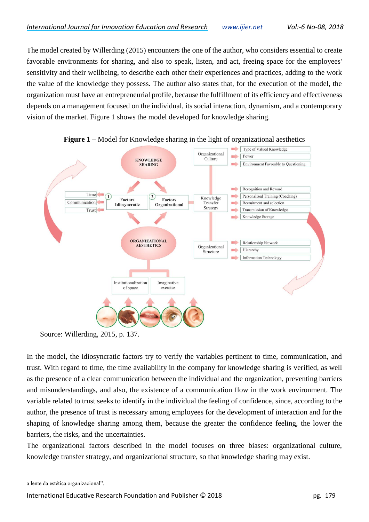The model created by Willerding (2015) encounters the one of the author, who considers essential to create favorable environments for sharing, and also to speak, listen, and act, freeing space for the employees' sensitivity and their wellbeing, to describe each other their experiences and practices, adding to the work the value of the knowledge they possess. The author also states that, for the execution of the model, the organization must have an entrepreneurial profile, because the fulfillment of its efficiency and effectiveness depends on a management focused on the individual, its social interaction, dynamism, and a contemporary vision of the market. Figure 1 shows the model developed for knowledge sharing.





In the model, the idiosyncratic factors try to verify the variables pertinent to time, communication, and trust. With regard to time, the time availability in the company for knowledge sharing is verified, as well as the presence of a clear communication between the individual and the organization, preventing barriers and misunderstandings, and also, the existence of a communication flow in the work environment. The variable related to trust seeks to identify in the individual the feeling of confidence, since, according to the author, the presence of trust is necessary among employees for the development of interaction and for the shaping of knowledge sharing among them, because the greater the confidence feeling, the lower the barriers, the risks, and the uncertainties.

The organizational factors described in the model focuses on three biases: organizational culture, knowledge transfer strategy, and organizational structure, so that knowledge sharing may exist.

 $\overline{a}$ 

International Educative Research Foundation and Publisher © 2018 **pg. 179** pg. 179

Source: Willerding, 2015, p. 137.

a lente da estética organizacional".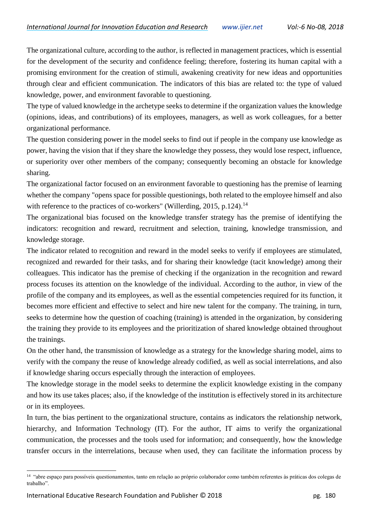The organizational culture, according to the author, is reflected in management practices, which is essential for the development of the security and confidence feeling; therefore, fostering its human capital with a promising environment for the creation of stimuli, awakening creativity for new ideas and opportunities through clear and efficient communication. The indicators of this bias are related to: the type of valued knowledge, power, and environment favorable to questioning.

The type of valued knowledge in the archetype seeks to determine if the organization values the knowledge (opinions, ideas, and contributions) of its employees, managers, as well as work colleagues, for a better organizational performance.

The question considering power in the model seeks to find out if people in the company use knowledge as power, having the vision that if they share the knowledge they possess, they would lose respect, influence, or superiority over other members of the company; consequently becoming an obstacle for knowledge sharing.

The organizational factor focused on an environment favorable to questioning has the premise of learning whether the company "opens space for possible questionings, both related to the employee himself and also with reference to the practices of co-workers" (Willerding, 2015, p.124).<sup>14</sup>

The organizational bias focused on the knowledge transfer strategy has the premise of identifying the indicators: recognition and reward, recruitment and selection, training, knowledge transmission, and knowledge storage.

The indicator related to recognition and reward in the model seeks to verify if employees are stimulated, recognized and rewarded for their tasks, and for sharing their knowledge (tacit knowledge) among their colleagues. This indicator has the premise of checking if the organization in the recognition and reward process focuses its attention on the knowledge of the individual. According to the author, in view of the profile of the company and its employees, as well as the essential competencies required for its function, it becomes more efficient and effective to select and hire new talent for the company. The training, in turn, seeks to determine how the question of coaching (training) is attended in the organization, by considering the training they provide to its employees and the prioritization of shared knowledge obtained throughout the trainings.

On the other hand, the transmission of knowledge as a strategy for the knowledge sharing model, aims to verify with the company the reuse of knowledge already codified, as well as social interrelations, and also if knowledge sharing occurs especially through the interaction of employees.

The knowledge storage in the model seeks to determine the explicit knowledge existing in the company and how its use takes places; also, if the knowledge of the institution is effectively stored in its architecture or in its employees.

In turn, the bias pertinent to the organizational structure, contains as indicators the relationship network, hierarchy, and Information Technology (IT). For the author, IT aims to verify the organizational communication, the processes and the tools used for information; and consequently, how the knowledge transfer occurs in the interrelations, because when used, they can facilitate the information process by

<sup>14</sup> "abre espaço para possíveis questionamentos, tanto em relação ao próprio colaborador como também referentes às práticas dos colegas de trabalho".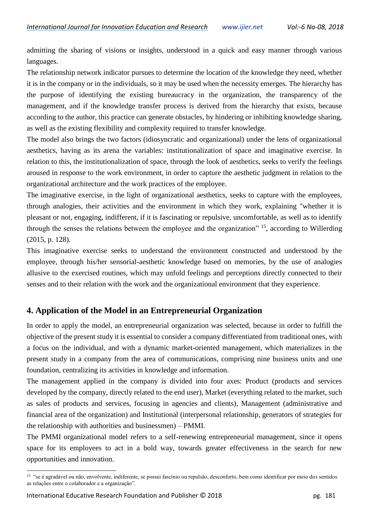admitting the sharing of visions or insights, understood in a quick and easy manner through various languages.

The relationship network indicator pursues to determine the location of the knowledge they need, whether it is in the company or in the individuals, so it may be used when the necessity emerges. The hierarchy has the purpose of identifying the existing bureaucracy in the organization, the transparency of the management, and if the knowledge transfer process is derived from the hierarchy that exists, because according to the author, this practice can generate obstacles, by hindering or inhibiting knowledge sharing, as well as the existing flexibility and complexity required to transfer knowledge.

The model also brings the two factors (idiosyncratic and organizational) under the lens of organizational aesthetics, having as its arena the variables: institutionalization of space and imaginative exercise. In relation to this, the institutionalization of space, through the look of aesthetics, seeks to verify the feelings aroused in response to the work environment, in order to capture the aesthetic judgment in relation to the organizational architecture and the work practices of the employee.

The imaginative exercise, in the light of organizational aesthetics, seeks to capture with the employees, through analogies, their activities and the environment in which they work, explaining "whether it is pleasant or not, engaging, indifferent, if it is fascinating or repulsive, uncomfortable, as well as to identify through the senses the relations between the employee and the organization" <sup>15</sup>, according to Willerding (2015, p. 128).

This imaginative exercise seeks to understand the environment constructed and understood by the employee, through his/her sensorial-aesthetic knowledge based on memories, by the use of analogies allusive to the exercised routines, which may unfold feelings and perceptions directly connected to their senses and to their relation with the work and the organizational environment that they experience.

#### **4. Application of the Model in an Entrepreneurial Organization**

In order to apply the model, an entrepreneurial organization was selected, because in order to fulfill the objective of the present study it is essential to consider a company differentiated from traditional ones, with a focus on the individual, and with a dynamic market-oriented management, which materializes in the present study in a company from the area of communications, comprising nine business units and one foundation, centralizing its activities in knowledge and information.

The management applied in the company is divided into four axes: Product (products and services developed by the company, directly related to the end user), Market (everything related to the market, such as sales of products and services, focusing in agencies and clients), Management (administrative and financial area of the organization) and Institutional (interpersonal relationship, generators of strategies for the relationship with authorities and businessmen) – PMMI.

The PMMI organizational model refers to a self-renewing entrepreneurial management, since it opens space for its employees to act in a bold way, towards greater effectiveness in the search for new opportunities and innovation.

<sup>&</sup>lt;sup>15</sup> "se é agradável ou não, envolvente, indiferente, se possui fascínio ou repulsão, desconforto, bem como identificar por meio dos sentidos as relações entre o colaborador e a organização".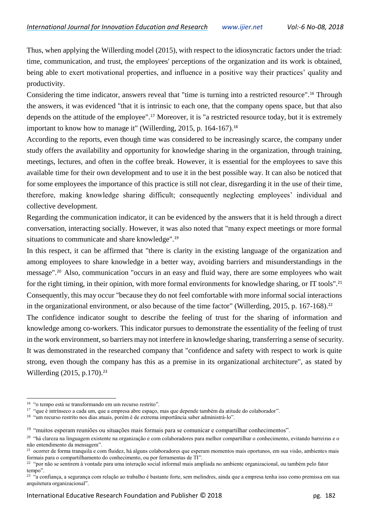Thus, when applying the Willerding model (2015), with respect to the idiosyncratic factors under the triad: time, communication, and trust, the employees' perceptions of the organization and its work is obtained, being able to exert motivational properties, and influence in a positive way their practices' quality and productivity.

Considering the time indicator, answers reveal that "time is turning into a restricted resource".<sup>16</sup> Through the answers, it was evidenced "that it is intrinsic to each one, that the company opens space, but that also depends on the attitude of the employee".<sup>17</sup> Moreover, it is "a restricted resource today, but it is extremely important to know how to manage it" (Willerding, 2015, p. 164-167).<sup>18</sup>

According to the reports, even though time was considered to be increasingly scarce, the company under study offers the availability and opportunity for knowledge sharing in the organization, through training, meetings, lectures, and often in the coffee break. However, it is essential for the employees to save this available time for their own development and to use it in the best possible way. It can also be noticed that for some employees the importance of this practice is still not clear, disregarding it in the use of their time, therefore, making knowledge sharing difficult; consequently neglecting employees' individual and collective development.

Regarding the communication indicator, it can be evidenced by the answers that it is held through a direct conversation, interacting socially. However, it was also noted that "many expect meetings or more formal situations to communicate and share knowledge".<sup>19</sup>

In this respect, it can be affirmed that "there is clarity in the existing language of the organization and among employees to share knowledge in a better way, avoiding barriers and misunderstandings in the message".<sup>20</sup> Also, communication "occurs in an easy and fluid way, there are some employees who wait for the right timing, in their opinion, with more formal environments for knowledge sharing, or IT tools".<sup>21</sup> Consequently, this may occur "because they do not feel comfortable with more informal social interactions in the organizational environment, or also because of the time factor" (Willerding, 2015, p. 167-168).<sup>22</sup> The confidence indicator sought to describe the feeling of trust for the sharing of information and knowledge among co-workers. This indicator pursues to demonstrate the essentiality of the feeling of trust in the work environment, so barriers may not interfere in knowledge sharing, transferring a sense of security. It was demonstrated in the researched company that "confidence and safety with respect to work is quite strong, even though the company has this as a premise in its organizational architecture", as stated by Willerding (2015, p.170).<sup>23</sup>

<sup>16</sup> "o tempo está se transformando em um recurso restrito".

<sup>&</sup>lt;sup>17</sup> "que é intrínseco a cada um, que a empresa abre espaço, mas que depende também da atitude do colaborador".

<sup>&</sup>lt;sup>18</sup> "um recurso restrito nos dias atuais, porém é de extrema importância saber administrá-lo".

<sup>&</sup>lt;sup>19</sup> "muitos esperam reuniões ou situações mais formais para se comunicar e compartilhar conhecimentos".

<sup>&</sup>lt;sup>20</sup> "há clareza na linguagem existente na organização e com colaboradores para melhor compartilhar o conhecimento, evitando barreiras e o não entendimento da mensagem".

<sup>21</sup> ocorrer de forma tranquila e com fluidez, há alguns colaboradores que esperam momentos mais oportunos, em sua visão, ambientes mais formais para o compartilhamento do conhecimento, ou por ferramentas de TI".

 $22$  "por não se sentirem à vontade para uma interação social informal mais ampliada no ambiente organizacional, ou também pelo fator tempo".

<sup>&</sup>lt;sup>23</sup> "a confiança, a segurança com relação ao trabalho é bastante forte, sem melindres, ainda que a empresa tenha isso como premissa em sua arquitetura organizacional".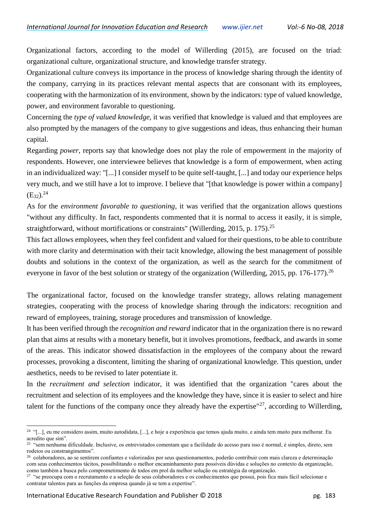Organizational factors, according to the model of Willerding (2015), are focused on the triad: organizational culture, organizational structure, and knowledge transfer strategy.

Organizational culture conveys its importance in the process of knowledge sharing through the identity of the company, carrying in its practices relevant mental aspects that are consonant with its employees, cooperating with the harmonization of its environment, shown by the indicators: type of valued knowledge, power, and environment favorable to questioning.

Concerning the *type of valued knowledge*, it was verified that knowledge is valued and that employees are also prompted by the managers of the company to give suggestions and ideas, thus enhancing their human capital.

Regarding *power*, reports say that knowledge does not play the role of empowerment in the majority of respondents. However, one interviewee believes that knowledge is a form of empowerment, when acting in an individualized way: "[...] I consider myself to be quite self-taught, [...] and today our experience helps very much, and we still have a lot to improve. I believe that "[that knowledge is power within a company]  $(E_{32})^{24}$ 

As for the *environment favorable to questioning*, it was verified that the organization allows questions "without any difficulty. In fact, respondents commented that it is normal to access it easily, it is simple, straightforward, without mortifications or constraints" (Willerding, 2015, p. 175).<sup>25</sup>

This fact allows employees, when they feel confident and valued for their questions, to be able to contribute with more clarity and determination with their tacit knowledge, allowing the best management of possible doubts and solutions in the context of the organization, as well as the search for the commitment of everyone in favor of the best solution or strategy of the organization (Willerding, 2015, pp. 176-177).<sup>26</sup>

The organizational factor, focused on the knowledge transfer strategy, allows relating management strategies, cooperating with the process of knowledge sharing through the indicators: recognition and reward of employees, training, storage procedures and transmission of knowledge.

It has been verified through the *recognition and reward* indicator that in the organization there is no reward plan that aims at results with a monetary benefit, but it involves promotions, feedback, and awards in some of the areas. This indicator showed dissatisfaction in the employees of the company about the reward processes, provoking a discontent, limiting the sharing of organizational knowledge. This question, under aesthetics, needs to be revised to later potentiate it.

In the *recruitment and selection* indicator, it was identified that the organization "cares about the recruitment and selection of its employees and the knowledge they have, since it is easier to select and hire talent for the functions of the company once they already have the expertise" $^{27}$ , according to Willerding,

 $\overline{a}$ <sup>24</sup> "[...], eu me considero assim, muito autodidata, [...], e hoje a experiência que temos ajuda muito, e ainda tem muito para melhorar. Eu acredito que sim".

<sup>&</sup>lt;sup>25</sup> "sem nenhuma dificuldade. Inclusive, os entrevistados comentam que a facilidade do acesso para isso é normal, é simples, direto, sem rodeios ou constrangimentos".

<sup>26</sup> colaboradores, ao se sentirem confiantes e valorizados por seus questionamentos, poderão contribuir com mais clareza e determinação com seus conhecimentos tácitos, possibilitando o melhor encaminhamento para possíveis dúvidas e soluções no contexto da organização, como também a busca pelo comprometimento de todos em prol da melhor solução ou estratégia da organização.

<sup>&</sup>lt;sup>27</sup> "se preocupa com o recrutamento e a seleção de seus colaboradores e os conhecimentos que possui, pois fica mais fácil selecionar e contratar talentos para as funções da empresa quando já se tem a expertise".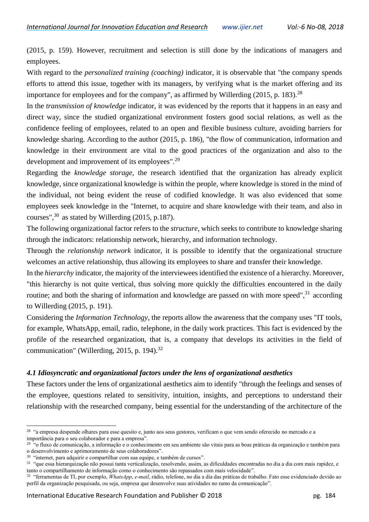(2015, p. 159). However, recruitment and selection is still done by the indications of managers and employees.

With regard to the *personalized training (coaching)* indicator, it is observable that "the company spends efforts to attend this issue, together with its managers, by verifying what is the market offering and its importance for employees and for the company", as affirmed by Willerding  $(2015, p. 183)$ <sup>28</sup>

In the *transmission of knowledge* indicator, it was evidenced by the reports that it happens in an easy and direct way, since the studied organizational environment fosters good social relations, as well as the confidence feeling of employees, related to an open and flexible business culture, avoiding barriers for knowledge sharing. According to the author (2015, p. 186), "the flow of communication, information and knowledge in their environment are vital to the good practices of the organization and also to the development and improvement of its employees".<sup>29</sup>

Regarding the *knowledge storage*, the research identified that the organization has already explicit knowledge, since organizational knowledge is within the people, where knowledge is stored in the mind of the individual, not being evident the reuse of codified knowledge. It was also evidenced that some employees seek knowledge in the "Internet, to acquire and share knowledge with their team, and also in courses",  $30$  as stated by Willerding (2015, p.187).

The following organizational factor refers to the *structure*, which seeks to contribute to knowledge sharing through the indicators: relationship network, hierarchy, and information technology.

Through the *relationship network* indicator, it is possible to identify that the organizational structure welcomes an active relationship, thus allowing its employees to share and transfer their knowledge.

In the *hierarchy* indicator, the majority of the interviewees identified the existence of a hierarchy. Moreover, "this hierarchy is not quite vertical, thus solving more quickly the difficulties encountered in the daily routine; and both the sharing of information and knowledge are passed on with more speed",  $31$  according to Willerding (2015, p. 191).

Considering the *Information Technology*, the reports allow the awareness that the company uses "IT tools, for example, WhatsApp, email, radio, telephone, in the daily work practices. This fact is evidenced by the profile of the researched organization, that is, a company that develops its activities in the field of communication" (Willerding, 2015, p. 194). $^{32}$ 

#### *4.1 Idiosyncratic and organizational factors under the lens of organizational aesthetics*

These factors under the lens of organizational aesthetics aim to identify "through the feelings and senses of the employee, questions related to sensitivity, intuition, insights, and perceptions to understand their relationship with the researched company, being essential for the understanding of the architecture of the

 $\overline{a}$ <sup>28</sup> "a empresa despende olhares para esse quesito e, junto aos seus gestores, verificam o que vem sendo oferecido no mercado e a importância para o seu colaborador e para a empresa".

<sup>&</sup>lt;sup>29</sup> "o fluxo de comunicação, a informação e o conhecimento em seu ambiente são vitais para as boas práticas da organização e também para o desenvolvimento e aprimoramento de seus colaboradores".

<sup>&</sup>lt;sup>30</sup> "internet, para adquirir e compartilhar com sua equipe, e também de cursos".

<sup>31</sup> "que essa hierarquização não possui tanta verticalização, resolvendo, assim, as dificuldades encontradas no dia a dia com mais rapidez, e tanto o compartilhamento de informação como o conhecimento são repassados com mais velocidade".

<sup>32</sup> "ferramentas de TI, por exemplo, *WhatsApp*, *e-mail*, rádio, telefone, no dia a dia das práticas de trabalho. Fato esse evidenciado devido ao perfil da organização pesquisada, ou seja, empresa que desenvolve suas atividades no ramo da comunicação".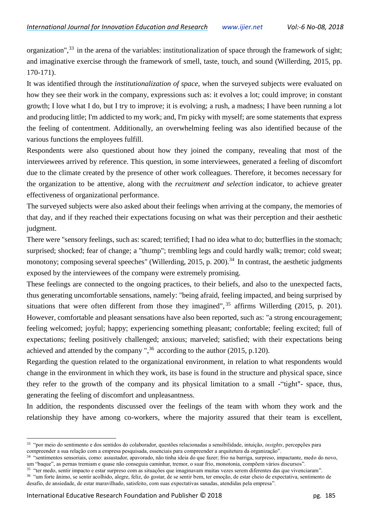organization",<sup>33</sup> in the arena of the variables: institutionalization of space through the framework of sight; and imaginative exercise through the framework of smell, taste, touch, and sound (Willerding, 2015, pp. 170-171).

It was identified through the *institutionalization of space*, when the surveyed subjects were evaluated on how they see their work in the company, expressions such as: it evolves a lot; could improve; in constant growth; I love what I do, but I try to improve; it is evolving; a rush, a madness; I have been running a lot and producing little; I'm addicted to my work; and, I'm picky with myself; are some statements that express the feeling of contentment. Additionally, an overwhelming feeling was also identified because of the various functions the employees fulfill.

Respondents were also questioned about how they joined the company, revealing that most of the interviewees arrived by reference. This question, in some interviewees, generated a feeling of discomfort due to the climate created by the presence of other work colleagues. Therefore, it becomes necessary for the organization to be attentive, along with the *recruitment and selection* indicator, to achieve greater effectiveness of organizational performance.

The surveyed subjects were also asked about their feelings when arriving at the company, the memories of that day, and if they reached their expectations focusing on what was their perception and their aesthetic judgment.

There were "sensory feelings, such as: scared; terrified; I had no idea what to do; butterflies in the stomach; surprised; shocked; fear of change; a "thump"; trembling legs and could hardly walk; tremor; cold sweat; monotony; composing several speeches" (Willerding, 2015, p. 200).<sup>34</sup> In contrast, the aesthetic judgments exposed by the interviewees of the company were extremely promising.

These feelings are connected to the ongoing practices, to their beliefs, and also to the unexpected facts, thus generating uncomfortable sensations, namely: "being afraid, feeling impacted, and being surprised by situations that were often different from those they imagined",<sup>35</sup> affirms Willerding (2015, p. 201). However, comfortable and pleasant sensations have also been reported, such as: "a strong encouragement; feeling welcomed; joyful; happy; experiencing something pleasant; confortable; feeling excited; full of expectations; feeling positively challenged; anxious; marveled; satisfied; with their expectations being achieved and attended by the company ",  $36$  according to the author (2015, p.120).

Regarding the question related to the organizational environment, in relation to what respondents would change in the environment in which they work, its base is found in the structure and physical space, since they refer to the growth of the company and its physical limitation to a small -"tight"- space, thus, generating the feeling of discomfort and unpleasantness.

In addition, the respondents discussed over the feelings of the team with whom they work and the relationship they have among co-workers, where the majority assured that their team is excellent,

<sup>33</sup> "por meio do sentimento e dos sentidos do colaborador, questões relacionadas a sensibilidade, intuição, *insights*, percepções para compreender a sua relação com a empresa pesquisada, essenciais para compreender a arquitetura da organização".

<sup>34</sup> "sentimentos sensoriais, como: assustador, apavorado, não tinha ideia do que fazer; frio na barriga, surpreso, impactante, medo do novo, um "baque", as pernas tremiam e quase não conseguia caminhar, tremor, o suar frio, monotonia, compõem vários discursos".

<sup>&</sup>lt;sup>35</sup> "ter medo, sentir impacto e estar surpreso com as situações que imaginavam muitas vezes serem diferentes das que vivenciaram".

<sup>36</sup> "um forte ânimo, se sentir acolhido, alegre, feliz, do gostar, de se sentir bem, ter emoção, de estar cheio de expectativa, sentimento de desafio, de ansiedade, de estar maravilhado, satisfeito, com suas expectativas sanadas, atendidas pela empresa".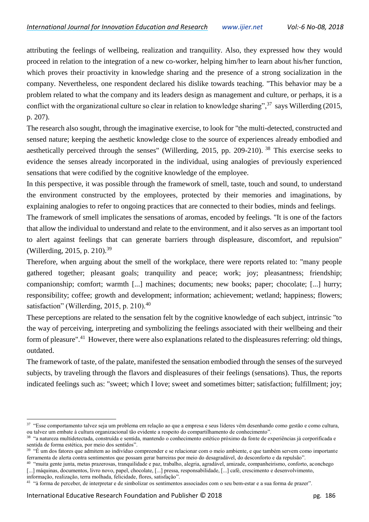attributing the feelings of wellbeing, realization and tranquility. Also, they expressed how they would proceed in relation to the integration of a new co-worker, helping him/her to learn about his/her function, which proves their proactivity in knowledge sharing and the presence of a strong socialization in the company. Nevertheless, one respondent declared his dislike towards teaching. "This behavior may be a problem related to what the company and its leaders design as management and culture, or perhaps, it is a conflict with the organizational culture so clear in relation to knowledge sharing",  $37$  says Willerding (2015, p. 207).

The research also sought, through the imaginative exercise, to look for "the multi-detected, constructed and sensed nature; keeping the aesthetic knowledge close to the source of experiences already embodied and aesthetically perceived through the senses" (Willerding, 2015, pp. 209-210). <sup>38</sup> This exercise seeks to evidence the senses already incorporated in the individual, using analogies of previously experienced sensations that were codified by the cognitive knowledge of the employee.

In this perspective, it was possible through the framework of smell, taste, touch and sound, to understand the environment constructed by the employees, protected by their memories and imaginations, by explaining analogies to refer to ongoing practices that are connected to their bodies, minds and feelings.

The framework of smell implicates the sensations of aromas, encoded by feelings. "It is one of the factors that allow the individual to understand and relate to the environment, and it also serves as an important tool to alert against feelings that can generate barriers through displeasure, discomfort, and repulsion" (Willerding, 2015, p. 210).<sup>39</sup>

Therefore, when arguing about the smell of the workplace, there were reports related to: "many people gathered together; pleasant goals; tranquility and peace; work; joy; pleasantness; friendship; companionship; comfort; warmth [...] machines; documents; new books; paper; chocolate; [...] hurry; responsibility; coffee; growth and development; information; achievement; wetland; happiness; flowers; satisfaction" (Willerding, 2015, p. 210).<sup>40</sup>

These perceptions are related to the sensation felt by the cognitive knowledge of each subject, intrinsic "to the way of perceiving, interpreting and symbolizing the feelings associated with their wellbeing and their form of pleasure".<sup>41</sup> However, there were also explanations related to the displeasures referring: old things, outdated.

The framework of taste, of the palate, manifested the sensation embodied through the senses of the surveyed subjects, by traveling through the flavors and displeasures of their feelings (sensations). Thus, the reports indicated feelings such as: "sweet; which I love; sweet and sometimes bitter; satisfaction; fulfillment; joy;

<sup>&</sup>lt;sup>37</sup> "Esse comportamento talvez seja um problema em relação ao que a empresa e seus líderes vêm desenhando como gestão e como cultura, ou talvez um embate à cultura organizacional tão evidente a respeito do compartilhamento de conhecimento".

<sup>38</sup> "a natureza multidetectada, construída e sentida, mantendo o conhecimento estético próximo da fonte de experiências já corporificada e sentida de forma estética, por meio dos sentidos".

<sup>39</sup> "É um dos fatores que admitem ao indivíduo compreender e se relacionar com o meio ambiente, e que também servem como importante ferramenta de alerta contra sentimentos que possam gerar barreiras por meio do desagradável, do desconforto e da repulsão".

<sup>&</sup>lt;sup>40</sup> "muita gente junta, metas prazerosas, tranquilidade e paz, trabalho, alegria, agradável, amizade, companheirismo, conforto, aconchego [...] máquinas, documentos, livro novo, papel, chocolate, [...] pressa, responsabilidade, [...] café, crescimento e desenvolvimento,

informação, realização, terra molhada, felicidade, flores, satisfação".

<sup>&</sup>lt;sup>41</sup> "à forma de perceber, de interpretar e de simbolizar os sentimentos associados com o seu bem-estar e a sua forma de prazer".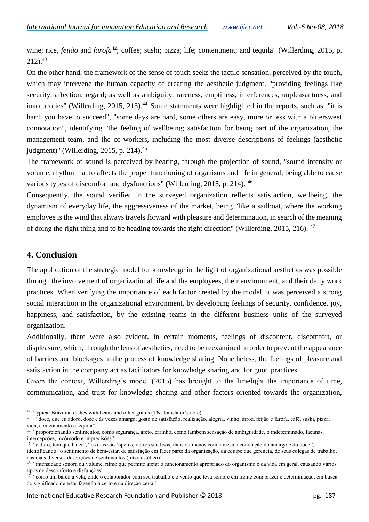wine; rice, *feijão* and *farofa*<sup>42</sup>; coffee; sushi; pizza; life; contentment; and tequila" (Willerding, 2015, p.  $212$ ).  $43$ 

On the other hand, the framework of the sense of touch seeks the tactile sensation, perceived by the touch, which may intervene the human capacity of creating the aesthetic judgment, "providing feelings like security, affection, regard; as well as ambiguity, rareness, emptiness, interferences, unpleasantness, and inaccuracies" (Willerding, 2015, 213).<sup>44</sup> Some statements were highlighted in the reports, such as: "it is hard, you have to succeed", "some days are hard, some others are easy, more or less with a bittersweet connotation", identifying "the feeling of wellbeing; satisfaction for being part of the organization, the management team, and the co-workers, including the most diverse descriptions of feelings (aesthetic judgment)" (Willerding, 2015, p. 214).<sup>45</sup>

The framework of sound is perceived by hearing, through the projection of sound, "sound intensity or volume, rhythm that to affects the proper functioning of organisms and life in general; being able to cause various types of discomfort and dysfunctions" (Willerding, 2015, p. 214). <sup>46</sup>

Consequently, the sound verified in the surveyed organization reflects satisfaction, wellbeing, the dynamism of everyday life, the aggressiveness of the market, being "like a sailboat, where the working employee is the wind that always travels forward with pleasure and determination, in search of the meaning of doing the right thing and to be heading towards the right direction" (Willerding, 2015, 216). <sup>47</sup>

#### **4. Conclusion**

 $\overline{a}$ 

The application of the strategic model for knowledge in the light of organizational aesthetics was possible through the involvement of organizational life and the employees, their environment, and their daily work practices. When verifying the importance of each factor created by the model, it was perceived a strong social interaction in the organizational environment, by developing feelings of security, confidence, joy, happiness, and satisfaction, by the existing teams in the different business units of the surveyed organization.

Additionally, there were also evident, in certain moments, feelings of discontent, discomfort, or displeasure, which, through the lens of aesthetics, need to be reexamined in order to prevent the appearance of barriers and blockages in the process of knowledge sharing. Nonetheless, the feelings of pleasure and satisfaction in the company act as facilitators for knowledge sharing and for good practices.

Given the context, Willerding's model (2015) has brought to the limelight the importance of time, communication, and trust for knowledge sharing and other factors oriented towards the organization,

identificando "o sentimento de bem-estar, de satisfação em fazer parte da organização, da equipe que gerencia, de seus colegas de trabalho, nas mais diversas descrições de sentimentos (juízo estético)".

<sup>&</sup>lt;sup>42</sup> Typical Brazilian dishes with beans and other grains (TN: translator's note).

<sup>&</sup>lt;sup>43</sup> "doce, que eu adoro, doce e às vezes amargo, gosto de satisfação, realização, alegria, vinho, arroz, feijão e farofa, café, sushi, pizza, vida, contentamento e tequila".

<sup>44</sup> "proporcionando sentimentos, como segurança, afeto, carinho, como também sensação de ambiguidade, o indeterminado, lacunas, intercepções, incômodo e imprecisões".

<sup>&</sup>lt;sup>45</sup> "é duro, tem que bater", "os dias são ásperos, outros são lisos, mais ou menos com a mesma conotação do amargo e do doce",

<sup>&</sup>lt;sup>46</sup> "intensidade sonora ou volume, ritmo que permite afetar o funcionamento apropriado do organismo e da vida em geral, causando vários tipos de desconforto e disfunções".

<sup>47</sup> "como um barco à vela, onde o colaborador com seu trabalho é o vento que leva sempre em frente com prazer e determinação, em busca do significado de estar fazendo o certo e na direção certa".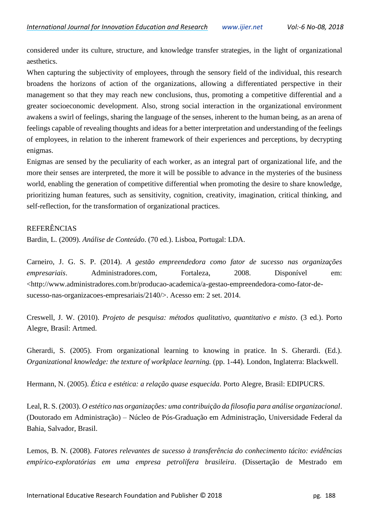considered under its culture, structure, and knowledge transfer strategies, in the light of organizational aesthetics.

When capturing the subjectivity of employees, through the sensory field of the individual, this research broadens the horizons of action of the organizations, allowing a differentiated perspective in their management so that they may reach new conclusions, thus, promoting a competitive differential and a greater socioeconomic development. Also, strong social interaction in the organizational environment awakens a swirl of feelings, sharing the language of the senses, inherent to the human being, as an arena of feelings capable of revealing thoughts and ideas for a better interpretation and understanding of the feelings of employees, in relation to the inherent framework of their experiences and perceptions, by decrypting enigmas.

Enigmas are sensed by the peculiarity of each worker, as an integral part of organizational life, and the more their senses are interpreted, the more it will be possible to advance in the mysteries of the business world, enabling the generation of competitive differential when promoting the desire to share knowledge, prioritizing human features, such as sensitivity, cognition, creativity, imagination, critical thinking, and self-reflection, for the transformation of organizational practices.

#### REFERÊNCIAS

Bardin, L. (2009). *Análise de Conteúdo*. (70 ed.). Lisboa, Portugal: LDA.

Carneiro, J. G. S. P. (2014). *A gestão empreendedora como fator de sucesso nas organizações empresariais*. Administradores.com, Fortaleza, 2008. Disponível em: <http://www.administradores.com.br/producao-academica/a-gestao-empreendedora-como-fator-desucesso-nas-organizacoes-empresariais/2140/>. Acesso em: 2 set. 2014.

Creswell, J. W. (2010). *Projeto de pesquisa: métodos qualitativo, quantitativo e misto*. (3 ed.). Porto Alegre, Brasil: Artmed.

Gherardi, S. (2005). From organizational learning to knowing in pratice. In S. Gherardi. (Ed.). *Organizational knowledge: the texture of workplace learning.* (pp. 1-44). London, Inglaterra: Blackwell.

Hermann, N. (2005). *Ética e estética: a relação quase esquecida*. Porto Alegre, Brasil: EDIPUCRS.

Leal, R. S. (2003). *O estético nas organizações: uma contribuição da filosofia para análise organizacional*. (Doutorado em Administração) – Núcleo de Pós-Graduação em Administração, Universidade Federal da Bahia, Salvador, Brasil.

Lemos, B. N. (2008). *Fatores relevantes de sucesso à transferência do conhecimento tácito: evidências empírico-exploratórias em uma empresa petrolífera brasileira*. (Dissertação de Mestrado em